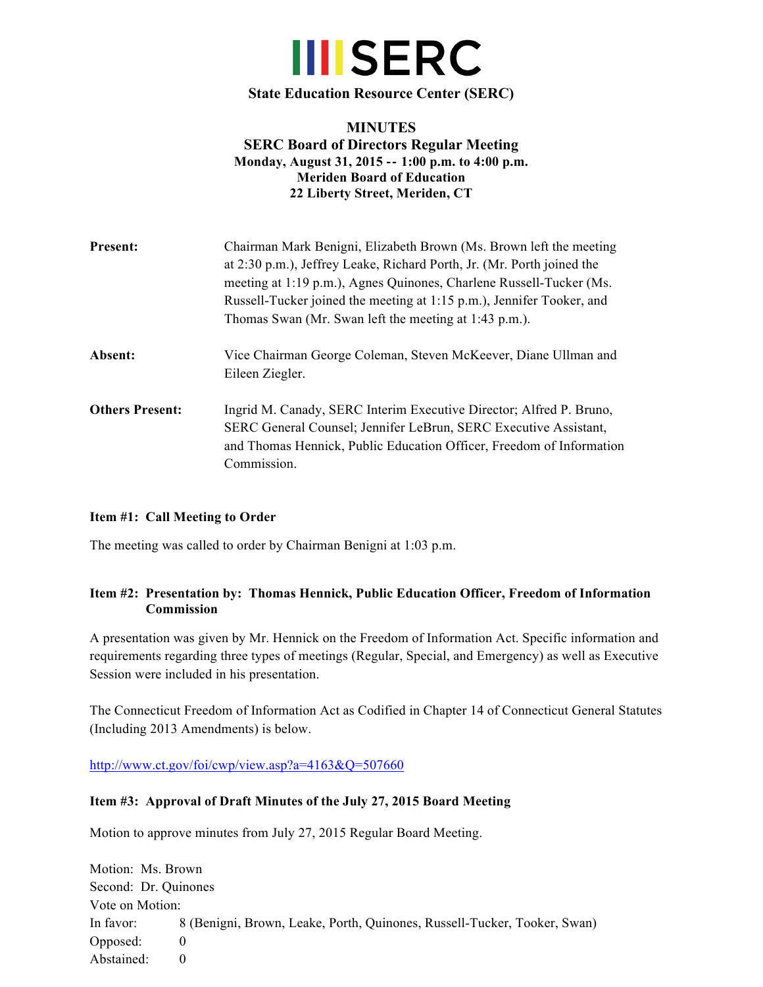

**State Education Resource Center (SERC)**

# **MINUTES SERC Board of Directors Regular Meeting** Monday, August 31, 2015 -- 1:00 p.m. to 4:00 p.m. **Meriden Board of Education 22 Liberty Street, Meriden, CT**

| <b>Present:</b>        | Chairman Mark Benigni, Elizabeth Brown (Ms. Brown left the meeting<br>at 2:30 p.m.), Jeffrey Leake, Richard Porth, Jr. (Mr. Porth joined the<br>meeting at 1:19 p.m.), Agnes Quinones, Charlene Russell-Tucker (Ms.<br>Russell-Tucker joined the meeting at 1:15 p.m.), Jennifer Tooker, and<br>Thomas Swan (Mr. Swan left the meeting at 1:43 p.m.). |  |
|------------------------|-------------------------------------------------------------------------------------------------------------------------------------------------------------------------------------------------------------------------------------------------------------------------------------------------------------------------------------------------------|--|
| Absent:                | Vice Chairman George Coleman, Steven McKeever, Diane Ullman and<br>Eileen Ziegler.                                                                                                                                                                                                                                                                    |  |
| <b>Others Present:</b> | Ingrid M. Canady, SERC Interim Executive Director; Alfred P. Bruno,<br>SERC General Counsel; Jennifer LeBrun, SERC Executive Assistant,<br>and Thomas Hennick, Public Education Officer, Freedom of Information<br>Commission.                                                                                                                        |  |

### **Item #1: Call Meeting to Order**

The meeting was called to order by Chairman Benigni at 1:03 p.m.

## **Item #2: Presentation by: Thomas Hennick, Public Education Officer, Freedom of Information Commission**

A presentation was given by Mr. Hennick on the Freedom of Information Act. Specific information and requirements regarding three types of meetings (Regular, Special, and Emergency) as well as Executive Session were included in his presentation.

The Connecticut Freedom of Information Act as Codified in Chapter 14 of Connecticut General Statutes (Including 2013 Amendments) is below.

http://www.ct.gov/foi/cwp/view.asp?a=4163&Q=507660

#### **Item #3: Approval of Draft Minutes of the July 27, 2015 Board Meeting**

Motion to approve minutes from July 27, 2015 Regular Board Meeting.

Motion: Ms. Brown Second: Dr. Quinones Vote on Motion: In favor: 8 (Benigni, Brown, Leake, Porth, Quinones, Russell-Tucker, Tooker, Swan) Opposed: 0 Abstained: 0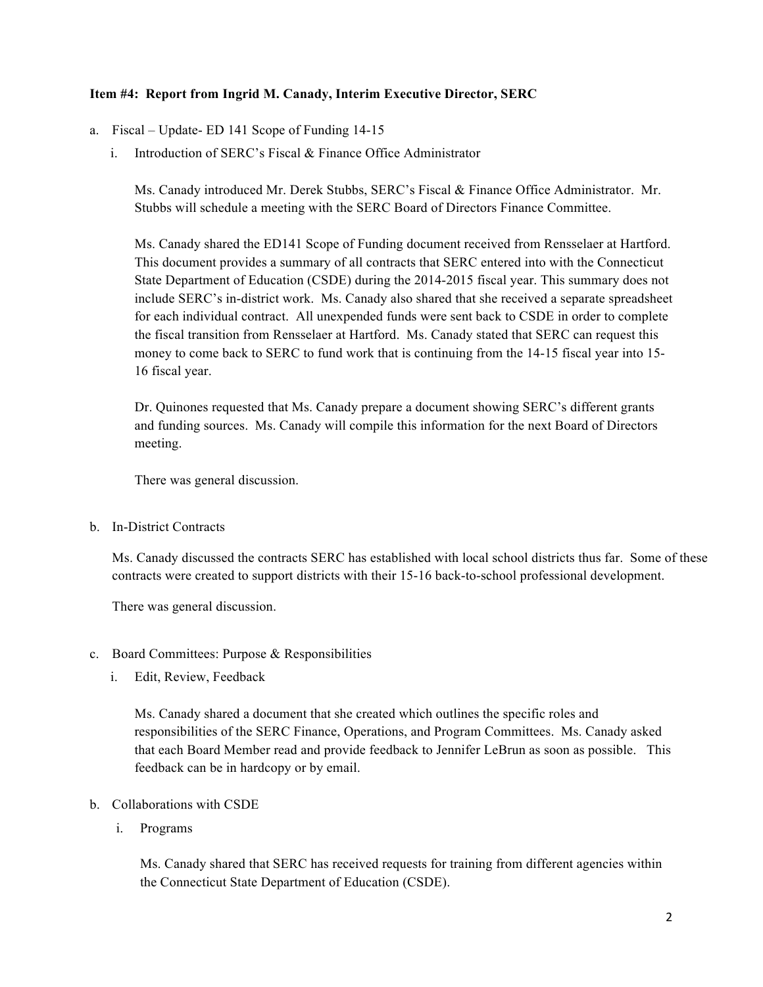## **Item #4: Report from Ingrid M. Canady, Interim Executive Director, SERC**

- a. Fiscal Update- ED 141 Scope of Funding 14-15
	- i. Introduction of SERC's Fiscal & Finance Office Administrator

Ms. Canady introduced Mr. Derek Stubbs, SERC's Fiscal & Finance Office Administrator. Mr. Stubbs will schedule a meeting with the SERC Board of Directors Finance Committee.

Ms. Canady shared the ED141 Scope of Funding document received from Rensselaer at Hartford. This document provides a summary of all contracts that SERC entered into with the Connecticut State Department of Education (CSDE) during the 2014-2015 fiscal year. This summary does not include SERC's in-district work. Ms. Canady also shared that she received a separate spreadsheet for each individual contract. All unexpended funds were sent back to CSDE in order to complete the fiscal transition from Rensselaer at Hartford. Ms. Canady stated that SERC can request this money to come back to SERC to fund work that is continuing from the 14-15 fiscal year into 15- 16 fiscal year.

Dr. Quinones requested that Ms. Canady prepare a document showing SERC's different grants and funding sources. Ms. Canady will compile this information for the next Board of Directors meeting.

There was general discussion.

b. In-District Contracts

Ms. Canady discussed the contracts SERC has established with local school districts thus far. Some of these contracts were created to support districts with their 15-16 back-to-school professional development.

There was general discussion.

- c. Board Committees: Purpose & Responsibilities
	- i. Edit, Review, Feedback

Ms. Canady shared a document that she created which outlines the specific roles and responsibilities of the SERC Finance, Operations, and Program Committees. Ms. Canady asked that each Board Member read and provide feedback to Jennifer LeBrun as soon as possible. This feedback can be in hardcopy or by email.

- b. Collaborations with CSDE
	- i. Programs

Ms. Canady shared that SERC has received requests for training from different agencies within the Connecticut State Department of Education (CSDE).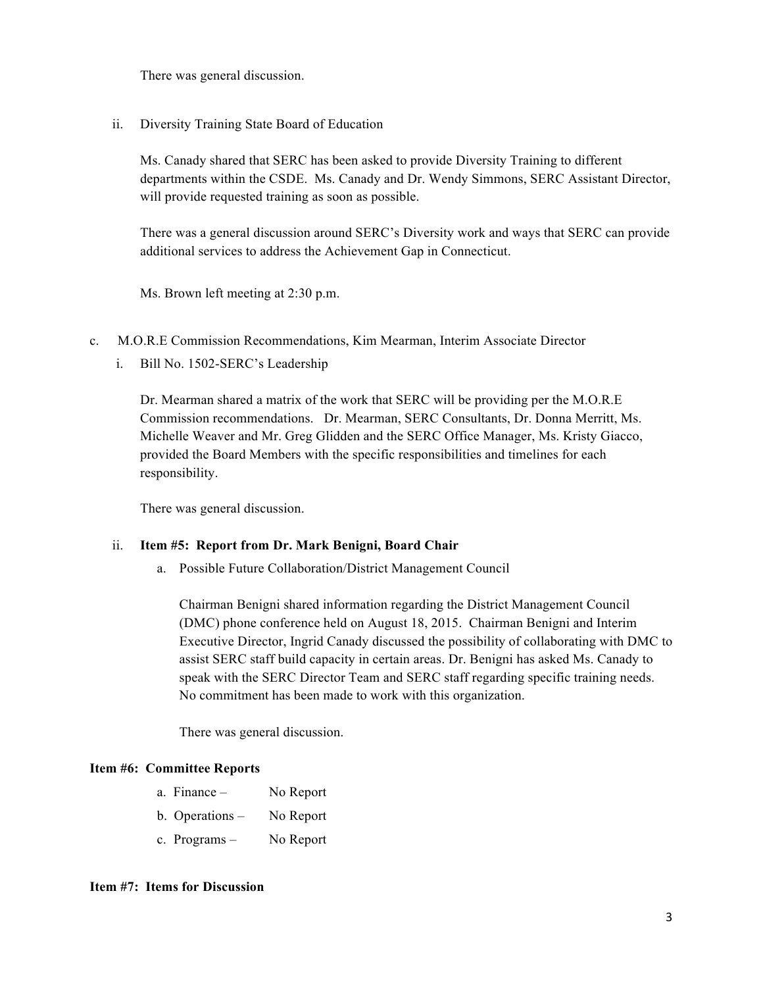There was general discussion.

ii. Diversity Training State Board of Education

Ms. Canady shared that SERC has been asked to provide Diversity Training to different departments within the CSDE. Ms. Canady and Dr. Wendy Simmons, SERC Assistant Director, will provide requested training as soon as possible.

There was a general discussion around SERC's Diversity work and ways that SERC can provide additional services to address the Achievement Gap in Connecticut.

Ms. Brown left meeting at 2:30 p.m.

- c. M.O.R.E Commission Recommendations, Kim Mearman, Interim Associate Director
	- i. Bill No. 1502-SERC's Leadership

Dr. Mearman shared a matrix of the work that SERC will be providing per the M.O.R.E Commission recommendations. Dr. Mearman, SERC Consultants, Dr. Donna Merritt, Ms. Michelle Weaver and Mr. Greg Glidden and the SERC Office Manager, Ms. Kristy Giacco, provided the Board Members with the specific responsibilities and timelines for each responsibility.

There was general discussion.

### ii. **Item #5: Report from Dr. Mark Benigni, Board Chair**

a. Possible Future Collaboration/District Management Council

Chairman Benigni shared information regarding the District Management Council (DMC) phone conference held on August 18, 2015. Chairman Benigni and Interim Executive Director, Ingrid Canady discussed the possibility of collaborating with DMC to assist SERC staff build capacity in certain areas. Dr. Benigni has asked Ms. Canady to speak with the SERC Director Team and SERC staff regarding specific training needs. No commitment has been made to work with this organization.

There was general discussion.

### **Item #6: Committee Reports**

| a. Finance -      | No Report |
|-------------------|-----------|
| b. Operations $-$ | No Report |

c. Programs – No Report

#### **Item #7: Items for Discussion**